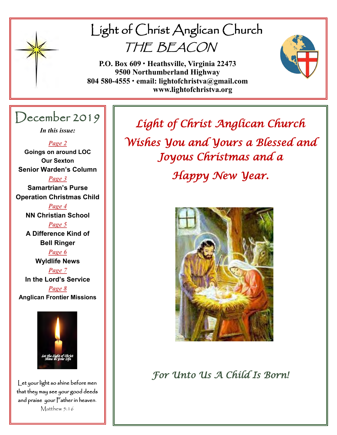

# Light of Christ Anglican Church THE BEACON

**P.O. Box 609 • Heathsville, Virginia 22473 9500 Northumberland Highway 804 580-4555 • email: lightofchristva@gmail.com www.lightofchristva.org**

# December 2019

*In this issue:*

*Page 2*

**Goings on around LOC Our Sexton Senior Warden's Column**

*Page 3* **Samartrian's Purse Operation Christmas Child**

> *Page 4* **NN Christian School**

> *Page 5* **A Difference Kind of Bell Ringer**

*Page 6* **Wyldlife News**

*Page 7* **In the Lord's Service**

*Page 8* **Anglican Frontier Missions**



Let your light so shine before men that they may see your good deeds and praise your Father in heaven. Matthew 5:16

*Light of Christ Anglican Church Wishes You and Yours a Blessed and Joyous Christmas and a* 

*Happy New Year.* 



*For Unto Us A Child Is Born!*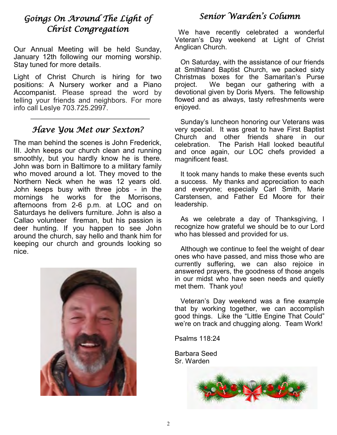# *Goings On Around The Light of Christ Congregation*

Our Annual Meeting will be held Sunday, January 12th following our morning worship. Stay tuned for more details.

Light of Christ Church is hiring for two positions: A Nursery worker and a Piano Accompanist. Please spread the word by telling your friends and neighbors. For more info call Leslye 703.725.2997.

### *Have You Met our Sexton?*

The man behind the scenes is John Frederick, III. John keeps our church clean and running smoothly, but you hardly know he is there. John was born in Baltimore to a military family who moved around a lot. They moved to the Northern Neck when he was 12 years old. John keeps busy with three jobs - in the mornings he works for the Morrisons, afternoons from 2-6 p.m. at LOC and on Saturdays he delivers furniture. John is also a Callao volunteer fireman, but his passion is deer hunting. If you happen to see John around the church, say hello and thank him for keeping our church and grounds looking so nice.



# *Senior Warden's Column*

 We have recently celebrated a wonderful Veteran's Day weekend at Light of Christ Anglican Church.

 On Saturday, with the assistance of our friends at Smithland Baptist Church, we packed sixty Christmas boxes for the Samaritan's Purse project. We began our gathering with a devotional given by Doris Myers. The fellowship flowed and as always, tasty refreshments were enjoyed.

 Sunday's luncheon honoring our Veterans was very special. It was great to have First Baptist Church and other friends share in our celebration. The Parish Hall looked beautiful and once again, our LOC chefs provided a magnificent feast.

 It took many hands to make these events such a success. My thanks and appreciation to each and everyone; especially Carl Smith, Marie Carstensen, and Father Ed Moore for their leadership.

 As we celebrate a day of Thanksgiving, I recognize how grateful we should be to our Lord who has blessed and provided for us.

 Although we continue to feel the weight of dear ones who have passed, and miss those who are currently suffering, we can also rejoice in answered prayers, the goodness of those angels in our midst who have seen needs and quietly met them. Thank you!

 Veteran's Day weekend was a fine example that by working together, we can accomplish good things. Like the "Little Engine That Could" we're on track and chugging along. Team Work!

Psalms 118:24

Barbara Seed Sr. Warden

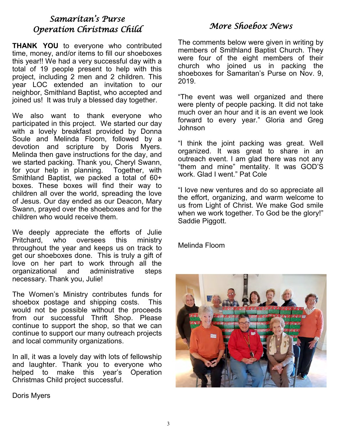### *Samaritan's Purse Operation Christmas Child*

**THANK YOU** to everyone who contributed time, money, and/or items to fill our shoeboxes this year!! We had a very successful day with a total of 19 people present to help with this project, including 2 men and 2 children. This year LOC extended an invitation to our neighbor, Smithland Baptist, who accepted and joined us! It was truly a blessed day together.

We also want to thank everyone who participated in this project. We started our day with a lovely breakfast provided by Donna Soule and Melinda Floom, followed by a devotion and scripture by Doris Myers. Melinda then gave instructions for the day, and we started packing. Thank you, Cheryl Swann, for your help in planning. Together, with Smithland Baptist, we packed a total of 60+ boxes. These boxes will find their way to children all over the world, spreading the love of Jesus. Our day ended as our Deacon, Mary Swann, prayed over the shoeboxes and for the children who would receive them.

We deeply appreciate the efforts of Julie<br>Pritchard, who oversees this ministrv Pritchard, who oversees this ministry throughout the year and keeps us on track to get our shoeboxes done. This is truly a gift of love on her part to work through all the organizational and administrative steps necessary. Thank you, Julie!

The Women's Ministry contributes funds for shoebox postage and shipping costs. This would not be possible without the proceeds from our successful Thrift Shop. Please continue to support the shop, so that we can continue to support our many outreach projects and local community organizations.

In all, it was a lovely day with lots of fellowship and laughter. Thank you to everyone who helped to make this year's Operation Christmas Child project successful.

## *More Shoebox News*

The comments below were given in writing by members of Smithland Baptist Church. They were four of the eight members of their church who joined us in packing the shoeboxes for Samaritan's Purse on Nov. 9, 2019.

"The event was well organized and there were plenty of people packing. It did not take much over an hour and it is an event we look forward to every year." Gloria and Greg Johnson

"I think the joint packing was great. Well organized. It was great to share in an outreach event. I am glad there was not any "them and mine" mentality. It was GOD'S work. Glad I went." Pat Cole

"I love new ventures and do so appreciate all the effort, organizing, and warm welcome to us from Light of Christ. We make God smile when we work together. To God be the glory!" Saddie Piggott.

Melinda Floom



Doris Myers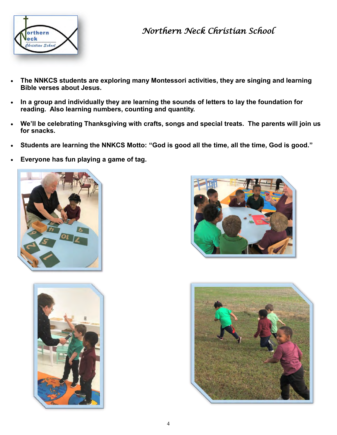

# *Northern Neck Christian School*

- **The NNKCS students are exploring many Montessori activities, they are singing and learning Bible verses about Jesus.**
- **In a group and individually they are learning the sounds of letters to lay the foundation for reading. Also learning numbers, counting and quantity.**
- **We'll be celebrating Thanksgiving with crafts, songs and special treats. The parents will join us for snacks.**
- **Students are learning the NNKCS Motto: "God is good all the time, all the time, God is good."**
- **Everyone has fun playing a game of tag.**







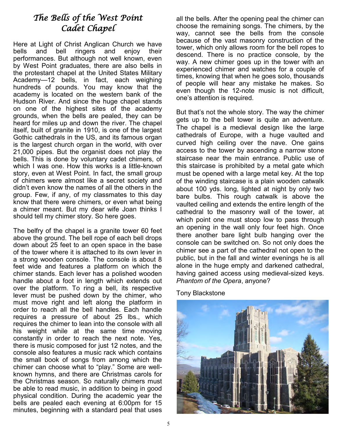# *The Bells of the West Point Cadet Chapel*

Here at Light of Christ Anglican Church we have bells and bell ringers and enjoy their performances. But although not well known, even by West Point graduates, there are also bells in the protestant chapel at the United States Military Academy—12 bells, in fact, each weighing hundreds of pounds. You may know that the academy is located on the western bank of the Hudson River. And since the huge chapel stands on one of the highest sites of the academy grounds, when the bells are pealed, they can be heard for miles up and down the river. The chapel itself, built of granite in 1910, is one of the largest Gothic cathedrals in the US, and its famous organ is the largest church organ in the world, with over 21,000 pipes. But the organist does not play the bells. This is done by voluntary cadet chimers, of which I was one. How this works is a little-known story, even at West Point. In fact, the small group of chimers were almost like a secret society and didn't even know the names of all the others in the group. Few, if any, of my classmates to this day know that there were chimers, or even what being a chimer meant. But my dear wife Joan thinks I should tell my chimer story. So here goes.

The belfry of the chapel is a granite tower 60 feet above the ground. The bell rope of each bell drops down about 25 feet to an open space in the base of the tower where it is attached to its own lever in a strong wooden console. The console is about 8 feet wide and features a platform on which the chimer stands. Each lever has a polished wooden handle about a foot in length which extends out over the platform. To ring a bell, its respective lever must be pushed down by the chimer, who must move right and left along the platform in order to reach all the bell handles. Each handle requires a pressure of about 25 lbs., which requires the chimer to lean into the console with all his weight while at the same time moving constantly in order to reach the next note. Yes, there is music composed for just 12 notes, and the console also features a music rack which contains the small book of songs from among which the chimer can choose what to "play." Some are wellknown hymns, and there are Christmas carols for the Christmas season. So naturally chimers must be able to read music, in addition to being in good physical condition. During the academic year the bells are pealed each evening at 6:00pm for 15 minutes, beginning with a standard peal that uses

all the bells. After the opening peal the chimer can choose the remaining songs. The chimers, by the way, cannot see the bells from the console because of the vast masonry construction of the tower, which only allows room for the bell ropes to descend. There is no practice console, by the way. A new chimer goes up in the tower with an experienced chimer and watches for a couple of times, knowing that when he goes solo, thousands of people will hear any mistake he makes. So even though the 12-note music is not difficult, one's attention is required.

But that's not the whole story. The way the chimer gets up to the bell tower is quite an adventure. The chapel is a medieval design like the large cathedrals of Europe, with a huge vaulted and curved high ceiling over the nave. One gains access to the tower by ascending a narrow stone staircase near the main entrance. Public use of this staircase is prohibited by a metal gate which must be opened with a large metal key. At the top of the winding staircase is a plain wooden catwalk about 100 yds. long, lighted at night by only two bare bulbs. This rough catwalk is above the vaulted ceiling and extends the entire length of the cathedral to the masonry wall of the tower, at which point one must stoop low to pass through an opening in the wall only four feet high. Once there another bare light bulb hanging over the console can be switched on. So not only does the chimer see a part of the cathedral not open to the public, but in the fall and winter evenings he is all alone in the huge empty and darkened cathedral, having gained access using medieval-sized keys. *Phantom of the Opera*, anyone?

Tony Blackstone

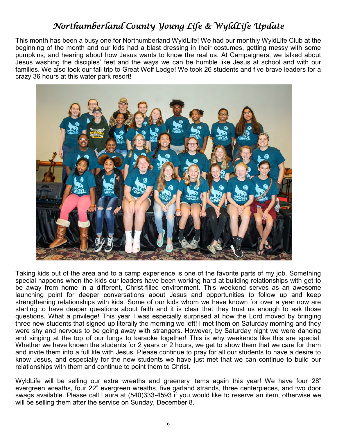# *Northumberland County Young Life & WyldLife Update*

This month has been a busy one for Northumberland WyldLife! We had our monthly WyldLife Club at the beginning of the month and our kids had a blast dressing in their costumes, getting messy with some pumpkins, and hearing about how Jesus wants to know the real us. At Campaigners, we talked about Jesus washing the disciples' feet and the ways we can be humble like Jesus at school and with our families. We also took our fall trip to Great Wolf Lodge! We took 26 students and five brave leaders for a crazy 36 hours at this water park resort!



Taking kids out of the area and to a camp experience is one of the favorite parts of my job. Something special happens when the kids our leaders have been working hard at building relationships with get to be away from home in a different, Christ-filled environment. This weekend serves as an awesome launching point for deeper conversations about Jesus and opportunities to follow up and keep strengthening relationships with kids. Some of our kids whom we have known for over a year now are starting to have deeper questions about faith and it is clear that they trust us enough to ask those questions. What a privilege! This year I was especially surprised at how the Lord moved by bringing three new students that signed up literally the morning we left! I met them on Saturday morning and they were shy and nervous to be going away with strangers. However, by Saturday night we were dancing and singing at the top of our lungs to karaoke together! This is why weekends like this are special. Whether we have known the students for 2 years or 2 hours, we get to show them that we care for them and invite them into a full life with Jesus. Please continue to pray for all our students to have a desire to know Jesus, and especially for the new students we have just met that we can continue to build our relationships with them and continue to point them to Christ.

WyldLife will be selling our extra wreaths and greenery items again this year! We have four 28" evergreen wreaths, four 22" evergreen wreaths, five garland strands, three centerpieces, and two door swags available. Please call Laura at (540)333-4593 if you would like to reserve an item, otherwise we will be selling them after the service on Sunday, December 8.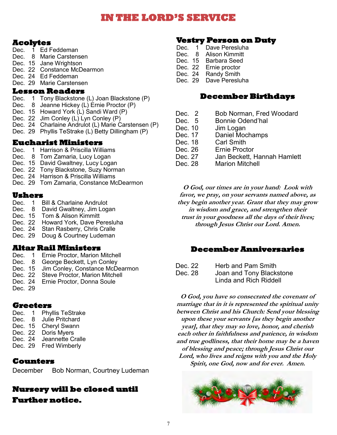# **IN THE LORD'S SERVICE**

#### **Acolytes**

- Dec. 1 Ed Feddeman
- Dec. 8 Marie Carstensen
- Dec. 15 Jane Wrightson
- Dec. 22 Constance McDearmon
- Dec. 24 Ed Feddeman
- Dec. 29 Marie Carstensen

#### **Lesson Readers**

- Dec. 1 Tony Blackstone (L) Joan Blackstone (P)
- Dec. 8 Jeanne Hickey (L) Ernie Proctor (P)
- Dec. 15 Howard York (L) Sandi Ward (P)
- Dec. 22 Jim Conley (L) Lyn Conley (P)
- Dec. 24 Charlaine Andrulot (L) Marie Carstensen (P)
- Dec. 29 Phyllis TeStrake (L) Betty Dillingham (P)

#### **Eucharist Ministers**

- Dec. 1 Harrison & Priscilla Williams
- Dec. 8 Tom Zamaria, Lucy Logan
- Dec. 15 David Gwaltney, Lucy Logan
- Dec. 22 Tony Blackstone, Suzy Norman
- Dec. 24 Harrison & Priscilla Williams
- Dec. 29 Tom Zamaria, Constance McDearmon

#### **Ushers**

- Dec. 1 Bill & Charlaine Andrulot
- Dec. 8 David Gwaltney, Jim Logan
- Dec. 15 Tom & Alison Kimmitt
- Dec. 22 Howard York, Dave Peresluha
- Dec. 24 Stan Rasberry, Chris Cralle
- Dec. 29 Doug & Courtney Ludeman

#### **Altar Rail Ministers**

- Dec. 1 Ernie Proctor, Marion Mitchell
- Dec. 8 George Beckett, Lyn Conley
- Dec. 15 Jim Conley, Constance McDearmon
- Dec. 22 Steve Proctor, Marion Mitchell
- Dec. 24 Ernie Proctor, Donna Soule
- Dec. 29

### **Greeters**

- Dec. 1 Phyllis TeStrake Dec. 8 Julie Pritchard Dec. 15 Cheryl Swann Dec. 22 Doris Myers Dec. 24 Jeannette Cralle
- Dec. 29 Fred Wimberly

#### **Counters**

December Bob Norman, Courtney Ludeman

#### **Nursery will be closed until Further notice.**

# **Vestry Person on Duty**

- Dec. 1 Dave Peresluha<br>Dec. 8 Alison Kimmitt
- Dec. 8 Alison Kimmitt<br>Dec. 15 Barbara Seed
- Barbara Seed
- Dec. 22 Ernie proctor
- Dec. 24 Randy Smith
- Dec. 29 Dave Peresluha

#### **December Birthdays**

- Dec. 2 Bob Norman, Fred Woodard
- Dec. 5 Bonnie Odend'hal
- Dec. 10 Jim Logan
- Dec. 17 Daniel Mochamps
- Dec. 18 Carl Smith
- Dec. 26 Ernie Proctor
- Dec. 27 Jan Beckett, Hannah Hamlett
- Dec. 28 Marion Mitchell

**O God, our times are in your hand: Look with favor, we pray, on your servants named above, as they begin another year. Grant that they may grow in wisdom and grace, and strengthen their trust in your goodness all the days of their lives; through Jesus Christ our Lord. Amen.**

#### **December Anniversaries**

- Dec. 22 Herb and Pam Smith
- Dec. 28 Joan and Tony Blackstone Linda and Rich Riddell

**O God, you have so consecrated the covenant of marriage that in it is represented the spiritual unity between Christ and his Church: Send your blessing upon these your servants [as they begin another year], that they may so love, honor, and cherish each other in faithfulness and patience, in wisdom and true godliness, that their home may be a haven of blessing and peace; through Jesus Christ our Lord, who lives and reigns with you and the Holy Spirit, one God, now and for ever. Amen.**